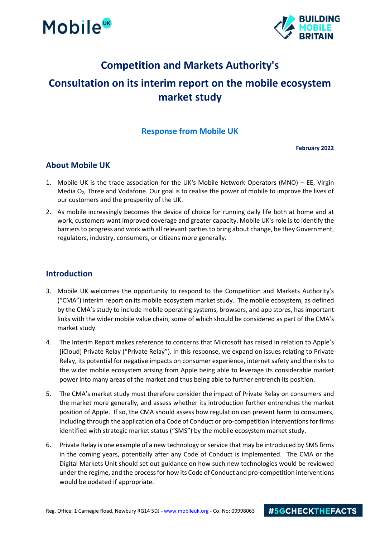



### **Competition and Markets Authority's**

## **Consultation on its interim report on the mobile ecosystem market study**

#### **Response from Mobile UK**

**February 2022**

#### **About Mobile UK**

- 1. Mobile UK is the trade association for the UK's Mobile Network Operators (MNO) EE, Virgin Media O<sub>2</sub>, Three and Vodafone. Our goal is to realise the power of mobile to improve the lives of our customers and the prosperity of the UK.
- 2. As mobile increasingly becomes the device of choice for running daily life both at home and at work, customers want improved coverage and greater capacity. Mobile UK's role is to identify the barriers to progress and work with all relevant parties to bring about change, be they Government, regulators, industry, consumers, or citizens more generally.

#### **Introduction**

- 3. Mobile UK welcomes the opportunity to respond to the Competition and Markets Authority's ("CMA") interim report on its mobile ecosystem market study. The mobile ecosystem, as defined by the CMA's study to include mobile operating systems, browsers, and app stores, has important links with the wider mobile value chain, some of which should be considered as part of the CMA's market study.
- 4. The Interim Report makes reference to concerns that Microsoft has raised in relation to Apple's [iCloud] Private Relay ("Private Relay"). In this response, we expand on issues relating to Private Relay, its potential for negative impacts on consumer experience, internet safety and the risks to the wider mobile ecosystem arising from Apple being able to leverage its considerable market power into many areas of the market and thus being able to further entrench its position.
- 5. The CMA's market study must therefore consider the impact of Private Relay on consumers and the market more generally, and assess whether its introduction further entrenches the market position of Apple. If so, the CMA should assess how regulation can prevent harm to consumers, including through the application of a Code of Conduct or pro-competition interventions for firms identified with strategic market status ("SMS") by the mobile ecosystem market study.
- 6. Private Relay is one example of a new technology or service that may be introduced by SMS firms in the coming years, potentially after any Code of Conduct is implemented. The CMA or the Digital Markets Unit should set out guidance on how such new technologies would be reviewed under the regime, and the process for how its Code of Conduct and pro-competition interventions would be updated if appropriate.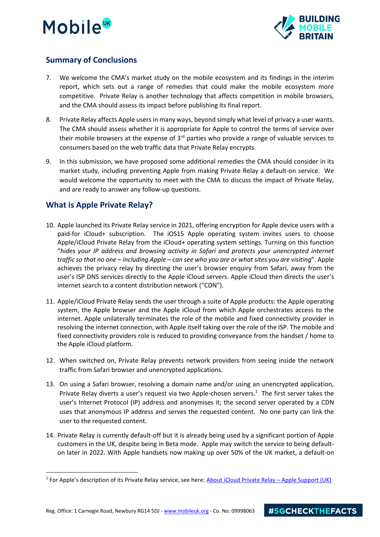# **Mobile**<sup>UK</sup>



#### **Summary of Conclusions**

- 7. We welcome the CMA's market study on the mobile ecosystem and its findings in the interim report, which sets out a range of remedies that could make the mobile ecosystem more competitive. Private Relay is another technology that affects competition in mobile browsers, and the CMA should assess its impact before publishing its final report.
- 8. Private Relay affects Apple users in many ways, beyond simply what level of privacy a user wants. The CMA should assess whether it is appropriate for Apple to control the terms of service over their mobile browsers at the expense of  $3<sup>rd</sup>$  parties who provide a range of valuable services to consumers based on the web traffic data that Private Relay encrypts.
- 9. In this submission, we have proposed some additional remedies the CMA should consider in its market study, including preventing Apple from making Private Relay a default-on service. We would welcome the opportunity to meet with the CMA to discuss the impact of Private Relay, and are ready to answer any follow-up questions.

#### **What is Apple Private Relay?**

- 10. Apple launched its Private Relay service in 2021, offering encryption for Apple device users with a paid-for iCloud+ subscription. The iOS15 Apple operating system invites users to choose Apple/iCloud Private Relay from the iCloud+ operating system settings. Turning on this function "*hides your IP address and browsing activity in Safari and protects your unencrypted internet traffic so that no one – including Apple – can see who you are or what sites you are visiting*". Apple achieves the privacy relay by directing the user's browser enquiry from Safari, away from the user's ISP DNS services directly to the Apple iCloud servers. Apple iCloud then directs the user's internet search to a content distribution network ("CDN").
- 11. Apple/iCloud Private Relay sends the user through a suite of Apple products: the Apple operating system, the Apple browser and the Apple iCloud from which Apple orchestrates access to the internet. Apple unilaterally terminates the role of the mobile and fixed connectivity provider in resolving the internet connection, with Apple itself taking over the role of the ISP. The mobile and fixed connectivity providers role is reduced to providing conveyance from the handset / home to the Apple iCloud platform.
- 12. When switched on, Private Relay prevents network providers from seeing inside the network traffic from Safari browser and unencrypted applications.
- 13. On using a Safari browser, resolving a domain name and/or using an unencrypted application, Private Relay diverts a user's request via two Apple-chosen servers. $1$  The first server takes the user's Internet Protocol (IP) address and anonymises it; the second server operated by a CDN uses that anonymous IP address and serves the requested content. No one party can link the user to the requested content.
- 14. Private Relay is currently default-off but it is already being used by a significant portion of Apple customers in the UK, despite being in Beta mode. Apple may switch the service to being defaulton later in 2022. With Apple handsets now making up over 50% of the UK market, a default-on

<sup>&</sup>lt;sup>1</sup> For Apple's description of its Private Relay service, see here: <u>[About iCloud Private Relay](https://support.apple.com/en-gb/HT212614) – Apple Support (UK)</u>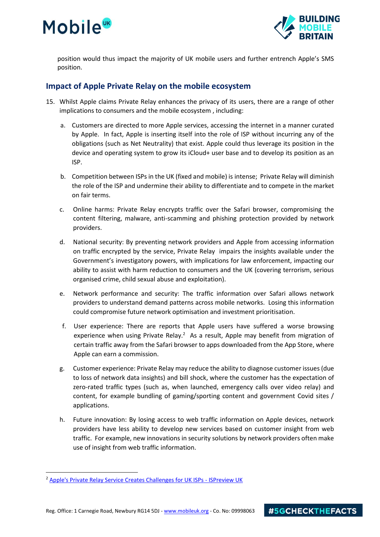## **Mobile**



position would thus impact the majority of UK mobile users and further entrench Apple's SMS position.

#### **Impact of Apple Private Relay on the mobile ecosystem**

- 15. Whilst Apple claims Private Relay enhances the privacy of its users, there are a range of other implications to consumers and the mobile ecosystem , including:
	- a. Customers are directed to more Apple services, accessing the internet in a manner curated by Apple. In fact, Apple is inserting itself into the role of ISP without incurring any of the obligations (such as Net Neutrality) that exist. Apple could thus leverage its position in the device and operating system to grow its iCloud+ user base and to develop its position as an ISP.
	- b. Competition between ISPs in the UK (fixed and mobile) is intense; Private Relay will diminish the role of the ISP and undermine their ability to differentiate and to compete in the market on fair terms.
	- c. Online harms: Private Relay encrypts traffic over the Safari browser, compromising the content filtering, malware, anti-scamming and phishing protection provided by network providers.
	- d. National security: By preventing network providers and Apple from accessing information on traffic encrypted by the service, Private Relay impairs the insights available under the Government's investigatory powers, with implications for law enforcement, impacting our ability to assist with harm reduction to consumers and the UK (covering terrorism, serious organised crime, child sexual abuse and exploitation).
	- e. Network performance and security: The traffic information over Safari allows network providers to understand demand patterns across mobile networks. Losing this information could compromise future network optimisation and investment prioritisation.
	- f. User experience: There are reports that Apple users have suffered a worse browsing experience when using Private Relay. $2$  As a result, Apple may benefit from migration of certain traffic away from the Safari browser to apps downloaded from the App Store, where Apple can earn a commission.
	- g. Customer experience: Private Relay may reduce the ability to diagnose customer issues (due to loss of network data insights) and bill shock, where the customer has the expectation of zero-rated traffic types (such as, when launched, emergency calls over video relay) and content, for example bundling of gaming/sporting content and government Covid sites / applications.
	- h. Future innovation: By losing access to web traffic information on Apple devices, network providers have less ability to develop new services based on customer insight from web traffic. For example, new innovations in security solutions by network providers often make use of insight from web traffic information.

<sup>2</sup> [Apple's Private Relay Service Creates Challenges for UK ISPs -](https://www.ispreview.co.uk/index.php/2021/10/apples-private-relay-service-creates-challenges-for-uk-isps.html) ISPreview UK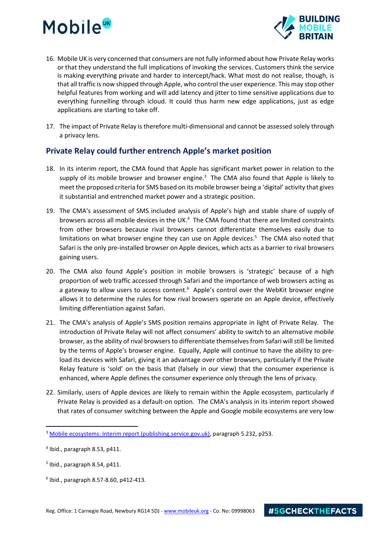# **Mobile**



- 16. Mobile UK is very concerned that consumers are not fully informed about how Private Relay works or that they understand the full implications of invoking the services. Customers think the service is making everything private and harder to intercept/hack. What most do not realise, though, is that all traffic is now shipped through Apple, who control the user experience. This may stop other helpful features from working and will add latency and jitter to time sensitive applications due to everything funnelling through icloud. It could thus harm new edge applications, just as edge applications are starting to take off.
- 17. The impact of Private Relay is therefore multi-dimensional and cannot be assessed solely through a privacy lens.

#### **Private Relay could further entrench Apple's market position**

- 18. In its interim report, the CMA found that Apple has significant market power in relation to the supply of its mobile browser and browser engine. $3$  The CMA also found that Apple is likely to meet the proposed criteria for SMS based on its mobile browser being a 'digital' activity that gives it substantial and entrenched market power and a strategic position.
- 19. The CMA's assessment of SMS included analysis of Apple's high and stable share of supply of browsers across all mobile devices in the UK.<sup>4</sup> The CMA found that there are limited constraints from other browsers because rival browsers cannot differentiate themselves easily due to limitations on what browser engine they can use on Apple devices.<sup>5</sup> The CMA also noted that Safari is the only pre-installed browser on Apple devices, which acts as a barrier to rival browsers gaining users.
- 20. The CMA also found Apple's position in mobile browsers is 'strategic' because of a high proportion of web traffic accessed through Safari and the importance of web browsers acting as a gateway to allow users to access content.<sup>6</sup> Apple's control over the WebKit browser engine allows it to determine the rules for how rival browsers operate on an Apple device, effectively limiting differentiation against Safari.
- 21. The CMA's analysis of Apple's SMS position remains appropriate in light of Private Relay. The introduction of Private Relay will not affect consumers' ability to switch to an alternative mobile browser, as the ability of rival browsers to differentiate themselves from Safari will still be limited by the terms of Apple's browser engine. Equally, Apple will continue to have the ability to preload its devices with Safari, giving it an advantage over other browsers, particularly if the Private Relay feature is 'sold' on the basis that (falsely in our view) that the consumer experience is enhanced, where Apple defines the consumer experience only through the lens of privacy.
- 22. Similarly, users of Apple devices are likely to remain within the Apple ecosystem, particularly if Private Relay is provided as a default-on option. The CMA's analysis in its interim report showed that rates of consumer switching between the Apple and Google mobile ecosystems are very low

<sup>&</sup>lt;sup>3</sup> [Mobile ecosystems: Interim report \(publishing.service.gov.uk\),](https://assets.publishing.service.gov.uk/government/uploads/system/uploads/attachment_data/file/1048746/MobileEcosystems_InterimReport.pdf) paragraph 5.232, p253.

<sup>4</sup> Ibid., paragraph 8.53, p411.

<sup>5</sup> Ibid., paragraph 8.54, p411.

<sup>6</sup> Ibid., paragraph 8.57-8.60, p412-413.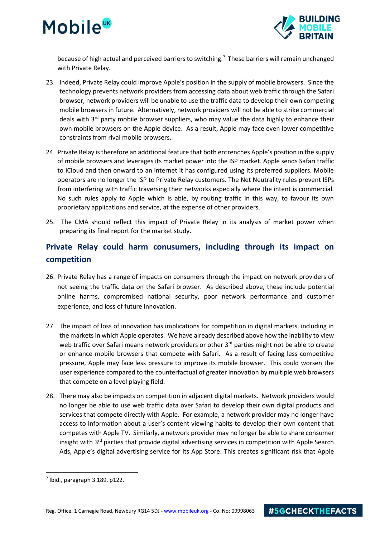



because of high actual and perceived barriers to switching.<sup>7</sup> These barriers will remain unchanged with Private Relay.

- 23. Indeed, Private Relay could improve Apple's position in the supply of mobile browsers. Since the technology prevents network providers from accessing data about web traffic through the Safari browser, network providers will be unable to use the traffic data to develop their own competing mobile browsers in future. Alternatively, network providers will not be able to strike commercial deals with  $3^{rd}$  party mobile browser suppliers, who may value the data highly to enhance their own mobile browsers on the Apple device. As a result, Apple may face even lower competitive constraints from rival mobile browsers.
- 24. Private Relay is therefore an additional feature that both entrenches Apple's position in the supply of mobile browsers and leverages its market power into the ISP market. Apple sends Safari traffic to iCloud and then onward to an internet it has configured using its preferred suppliers. Mobile operators are no longer the ISP to Private Relay customers. The Net Neutrality rules prevent ISPs from interfering with traffic traversing their networks especially where the intent is commercial. No such rules apply to Apple which is able, by routing traffic in this way, to favour its own proprietary applications and service, at the expense of other providers.
- 25. The CMA should reflect this impact of Private Relay in its analysis of market power when preparing its final report for the market study.

### **Private Relay could harm conusumers, including through its impact on competition**

- 26. Private Relay has a range of impacts on consumers through the impact on network providers of not seeing the traffic data on the Safari browser. As described above, these include potential online harms, compromised national security, poor network performance and customer experience, and loss of future innovation.
- 27. The impact of loss of innovation has implications for competition in digital markets, including in the markets in which Apple operates. We have already described above how the inability to view web traffic over Safari means network providers or other 3<sup>rd</sup> parties might not be able to create or enhance mobile browsers that compete with Safari. As a result of facing less competitive pressure, Apple may face less pressure to improve its mobile browser. This could worsen the user experience compared to the counterfactual of greater innovation by multiple web browsers that compete on a level playing field.
- 28. There may also be impacts on competition in adjacent digital markets. Network providers would no longer be able to use web traffic data over Safari to develop their own digital products and services that compete directly with Apple. For example, a network provider may no longer have access to information about a user's content viewing habits to develop their own content that competes with Apple TV. Similarly, a network provider may no longer be able to share consumer insight with 3<sup>rd</sup> parties that provide digital advertising services in competition with Apple Search Ads, Apple's digital advertising service for its App Store. This creates significant risk that Apple

 $<sup>7</sup>$  Ibid., paragraph 3.189, p122.</sup>